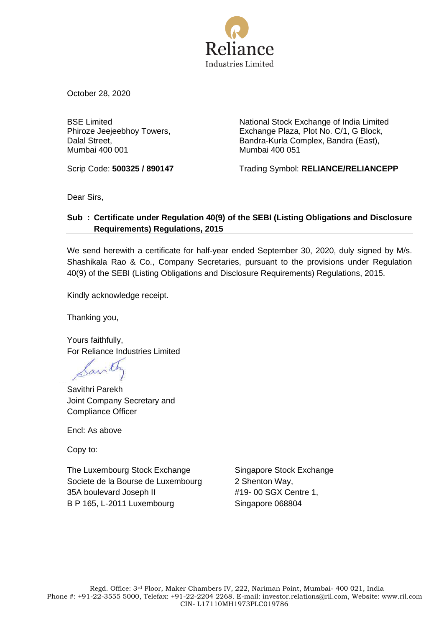

October 28, 2020

BSE Limited Phiroze Jeejeebhoy Towers, Dalal Street, Mumbai 400 001

National Stock Exchange of India Limited Exchange Plaza, Plot No. C/1, G Block, Bandra-Kurla Complex, Bandra (East), Mumbai 400 051

Scrip Code: **500325 / 890147** Trading Symbol: **RELIANCE/RELIANCEPP**

Dear Sirs,

### **Sub : Certificate under Regulation 40(9) of the SEBI (Listing Obligations and Disclosure Requirements) Regulations, 2015**

We send herewith a certificate for half-year ended September 30, 2020, duly signed by M/s. Shashikala Rao & Co., Company Secretaries, pursuant to the provisions under Regulation 40(9) of the SEBI (Listing Obligations and Disclosure Requirements) Regulations, 2015.

Kindly acknowledge receipt.

Thanking you,

Yours faithfully, For Reliance Industries Limited

Savithri Parekh Joint Company Secretary and Compliance Officer

Encl: As above

Copy to:

The Luxembourg Stock Exchange Societe de la Bourse de Luxembourg 35A boulevard Joseph II B P 165, L-2011 Luxembourg

Singapore Stock Exchange 2 Shenton Way, #19- 00 SGX Centre 1, Singapore 068804